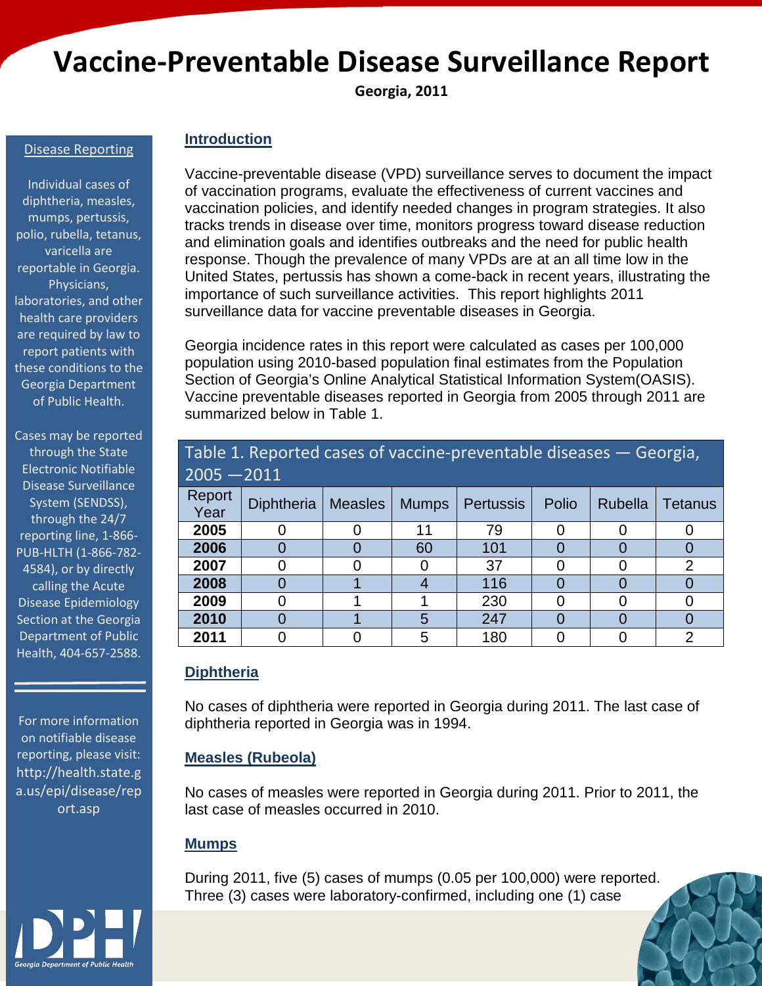# Vaccine-Preventable Disease Surveillance Report<br> **Georgia, 2011**

#### Disease Reporting

Individual cases of diphtheria, measles, mumps, pertussis, polio, rubella, tetanus, varicella are reportable in Georgia. Physicians, laboratories, and other health care providers are required by law to report patients with these conditions to the Georgia Department of Public Health.

Cases may be reported through th[e State](https://sendss.state.ga.us/sendss/login.screen)  [Electronic Notifiable](https://sendss.state.ga.us/sendss/login.screen)  [Disease Surveillance](https://sendss.state.ga.us/sendss/login.screen)  [System \(SENDSS\),](https://sendss.state.ga.us/sendss/login.screen) through the 24/7 reporting line, 1-866- PUB-HLTH (1-866-782- 4584), or by directly calling the [Acute](http://health.state.ga.us/epi/ades/index.asp)  [Disease Epidemiology](http://health.state.ga.us/epi/ades/index.asp)  [Section](http://health.state.ga.us/epi/ades/index.asp) at the Georgia Department of Public Health, 404-657-2588.

For more information on notifiable disease reporting, please visit: [http://health.state.g](http://health.state.ga.us/epi/disease/report.asp) [a.us/epi/disease/rep](http://health.state.ga.us/epi/disease/report.asp) [ort.asp](http://health.state.ga.us/epi/disease/report.asp)

#### **Introduction**

Vaccine-preventable disease (VPD) surveillance serves to document the impact of vaccination programs, evaluate the effectiveness of current vaccines and vaccination policies, and identify needed changes in program strategies. It also tracks trends in disease over time, monitors progress toward disease reduction and elimination goals and identifies outbreaks and the need for public health response. Though the prevalence of many VPDs are at an all time low in the United States, pertussis has shown a come-back in recent years, illustrating the importance of such surveillance activities. This report highlights 2011 surveillance data for vaccine preventable diseases in Georgia.

Georgia incidence rates in this report were calculated as cases per 100,000 population using 2010-based population final estimates from the Population Section of Georgia's Online Analytical Statistical Information System(OASIS). Vaccine preventable diseases reported in Georgia from 2005 through 2011 are summarized below in Table 1.

Table 1. Reported cases of vaccine-preventable diseases — Georgia,

|                |                   |                |              |                  |       |         | $\cdot$ $\cdot$ $\cdot$ |
|----------------|-------------------|----------------|--------------|------------------|-------|---------|-------------------------|
| $2005 - 2011$  |                   |                |              |                  |       |         |                         |
| Report<br>Year | <b>Diphtheria</b> | <b>Measles</b> | <b>Mumps</b> | <b>Pertussis</b> | Polio | Rubella | <b>Tetanus</b>          |
| 2005           |                   |                | 11           | 79               |       |         |                         |
| 2006           |                   |                | 60           | 101              |       |         | $\mathbf{U}$            |
| 2007           |                   |                |              | 37               |       |         | 2                       |
| 2008           |                   |                |              | 116              |       |         |                         |
| 2009           |                   |                |              | 230              | 0     |         | O                       |
| 2010           |                   |                | 5            | 247              |       |         |                         |
| 2011           |                   |                | 5            | 180              |       |         | $\overline{2}$          |

#### **Diphtheria**

No cases of diphtheria were reported in Georgia during 2011. The last case of diphtheria reported in Georgia was in 1994.

#### **Measles (Rubeola)**

No cases of measles were reported in Georgia during 2011. Prior to 2011, the last case of measles occurred in 2010.

#### **Mumps**

During 2011, five (5) cases of mumps (0.05 per 100,000) were reported. Three (3) cases were laboratory-confirmed, including one (1) case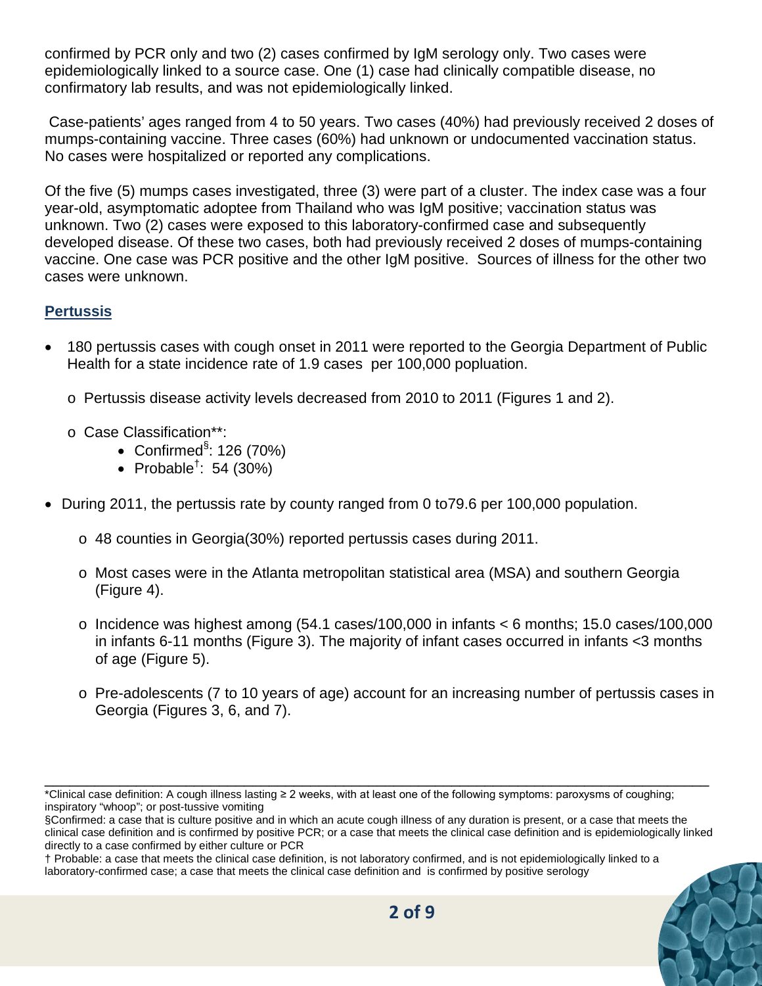confirmed by PCR only and two (2) cases confirmed by IgM serology only. Two cases were epidemiologically linked to a source case. One (1) case had clinically compatible disease, no confirmatory lab results, and was not epidemiologically linked.

Case-patients' ages ranged from 4 to 50 years. Two cases (40%) had previously received 2 doses of mumps-containing vaccine. Three cases (60%) had unknown or undocumented vaccination status. No cases were hospitalized or reported any complications.

Of the five (5) mumps cases investigated, three (3) were part of a cluster. The index case was a four year-old, asymptomatic adoptee from Thailand who was IgM positive; vaccination status was unknown. Two (2) cases were exposed to this laboratory-confirmed case and subsequently developed disease. Of these two cases, both had previously received 2 doses of mumps-containing vaccine. One case was PCR positive and the other IgM positive. Sources of illness for the other two cases were unknown.

## **Pertussis**

- 180 pertussis cases with cough onset in 2011 were reported to the Georgia Department of Public Health for a state incidence rate of 1.9 cases per 100,000 popluation.
	- o Pertussis disease activity levels decreased from 2010 to 2011 (Figures 1 and 2).
	- o Case Classification\*\*:
		- Confirmed<sup>§</sup>: 126 (70%)
		- Probable<sup>†</sup>: 54 (30%)
- During 2011, the pertussis rate by county ranged from 0 to79.6 per 100,000 population.
	- o 48 counties in Georgia(30%) reported pertussis cases during 2011.
	- o Most cases were in the Atlanta metropolitan statistical area (MSA) and southern Georgia (Figure 4).
	- $\circ$  Incidence was highest among (54.1 cases/100,000 in infants  $\lt 6$  months; 15.0 cases/100,000 in infants 6-11 months (Figure 3). The majority of infant cases occurred in infants <3 months of age (Figure 5).
	- o Pre-adolescents (7 to 10 years of age) account for an increasing number of pertussis cases in Georgia (Figures 3, 6, and 7).

<sup>†</sup> Probable: a case that meets the clinical case definition, is not laboratory confirmed, and is not epidemiologically linked to a laboratory-confirmed case; a case that meets the clinical case definition and is confirmed by positive serology



\_\_\_\_\_\_\_\_\_\_\_\_\_\_\_\_\_\_\_\_\_\_\_\_\_\_\_\_\_\_\_\_\_\_\_\_\_\_\_\_\_\_\_\_\_\_\_\_\_\_\_\_\_\_\_\_\_\_\_\_\_\_\_\_\_\_\_\_\_\_\_\_\_\_\_\_\_\_\_\_ \*Clinical case definition: A cough illness lasting ≥ 2 weeks, with at least one of the following symptoms: paroxysms of coughing; inspiratory "whoop"; or post-tussive vomiting

<sup>§</sup>Confirmed: a case that is culture positive and in which an acute cough illness of any duration is present, or a case that meets the clinical case definition and is confirmed by positive PCR; or a case that meets the clinical case definition and is epidemiologically linked directly to a case confirmed by either culture or PCR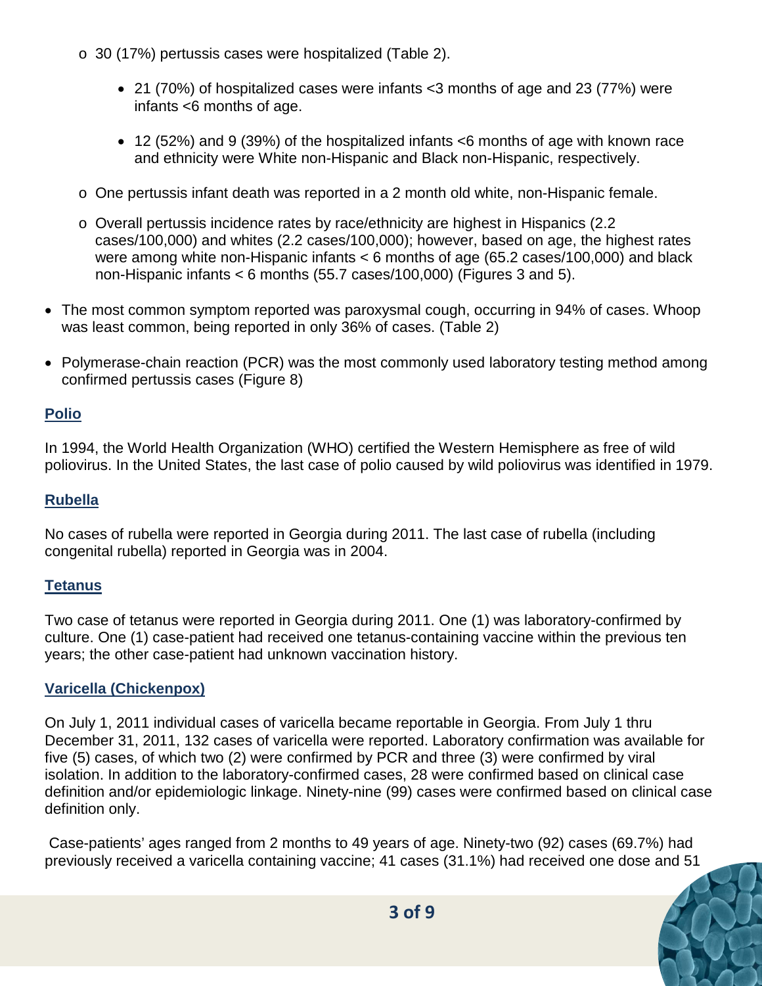- o 30 (17%) pertussis cases were hospitalized (Table 2).
	- 21 (70%) of hospitalized cases were infants <3 months of age and 23 (77%) were infants <6 months of age.
	- 12 (52%) and 9 (39%) of the hospitalized infants <6 months of age with known race and ethnicity were White non-Hispanic and Black non-Hispanic, respectively.
- o One pertussis infant death was reported in a 2 month old white, non-Hispanic female.
- o Overall pertussis incidence rates by race/ethnicity are highest in Hispanics (2.2 cases/100,000) and whites (2.2 cases/100,000); however, based on age, the highest rates were among white non-Hispanic infants < 6 months of age (65.2 cases/100,000) and black non-Hispanic infants < 6 months (55.7 cases/100,000) (Figures 3 and 5).
- The most common symptom reported was paroxysmal cough, occurring in 94% of cases. Whoop was least common, being reported in only 36% of cases. (Table 2)
- Polymerase-chain reaction (PCR) was the most commonly used laboratory testing method among confirmed pertussis cases (Figure 8)

## **Polio**

In 1994, the World Health Organization (WHO) certified the Western Hemisphere as free of wild poliovirus. In the United States, the last case of polio caused by wild poliovirus was identified in 1979.

### **Rubella**

No cases of rubella were reported in Georgia during 2011. The last case of rubella (including congenital rubella) reported in Georgia was in 2004.

#### **Tetanus**

Two case of tetanus were reported in Georgia during 2011. One (1) was laboratory-confirmed by culture. One (1) case-patient had received one tetanus-containing vaccine within the previous ten years; the other case-patient had unknown vaccination history.

## **Varicella (Chickenpox)**

On July 1, 2011 individual cases of varicella became reportable in Georgia. From July 1 thru December 31, 2011, 132 cases of varicella were reported. Laboratory confirmation was available for five (5) cases, of which two (2) were confirmed by PCR and three (3) were confirmed by viral isolation. In addition to the laboratory-confirmed cases, 28 were confirmed based on clinical case definition and/or epidemiologic linkage. Ninety-nine (99) cases were confirmed based on clinical case definition only.

Case-patients' ages ranged from 2 months to 49 years of age. Ninety-two (92) cases (69.7%) had previously received a varicella containing vaccine; 41 cases (31.1%) had received one dose and 51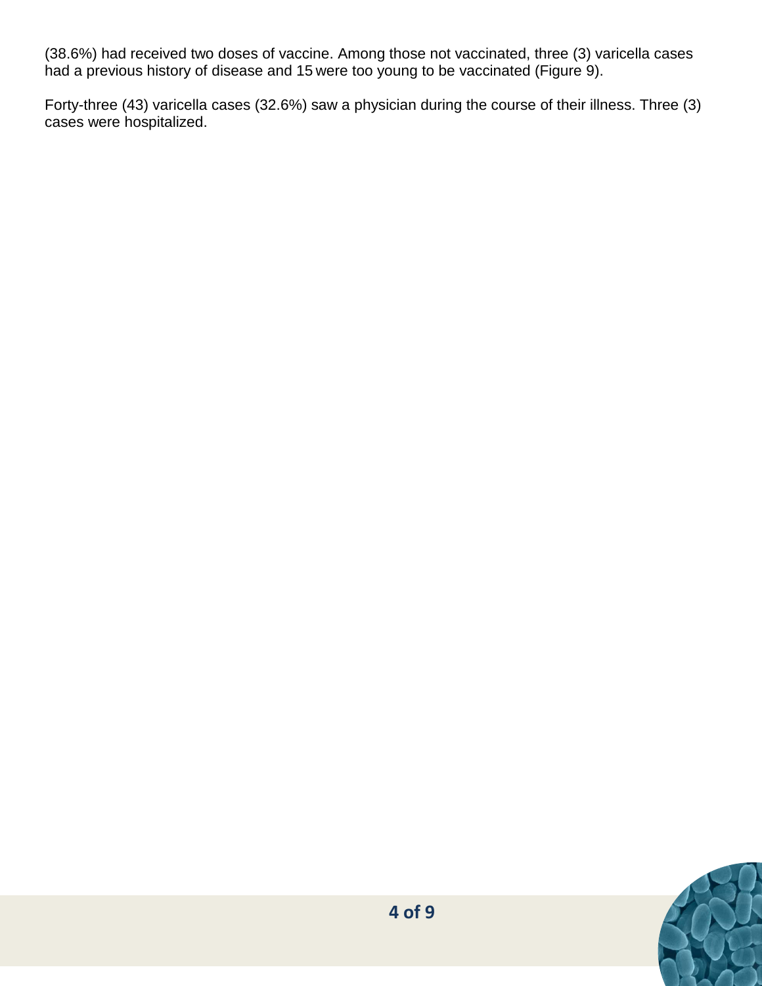(38.6%) had received two doses of vaccine. Among those not vaccinated, three (3) varicella cases had a previous history of disease and 15 were too young to be vaccinated (Figure 9).

Forty-three (43) varicella cases (32.6%) saw a physician during the course of their illness. Three (3) cases were hospitalized.

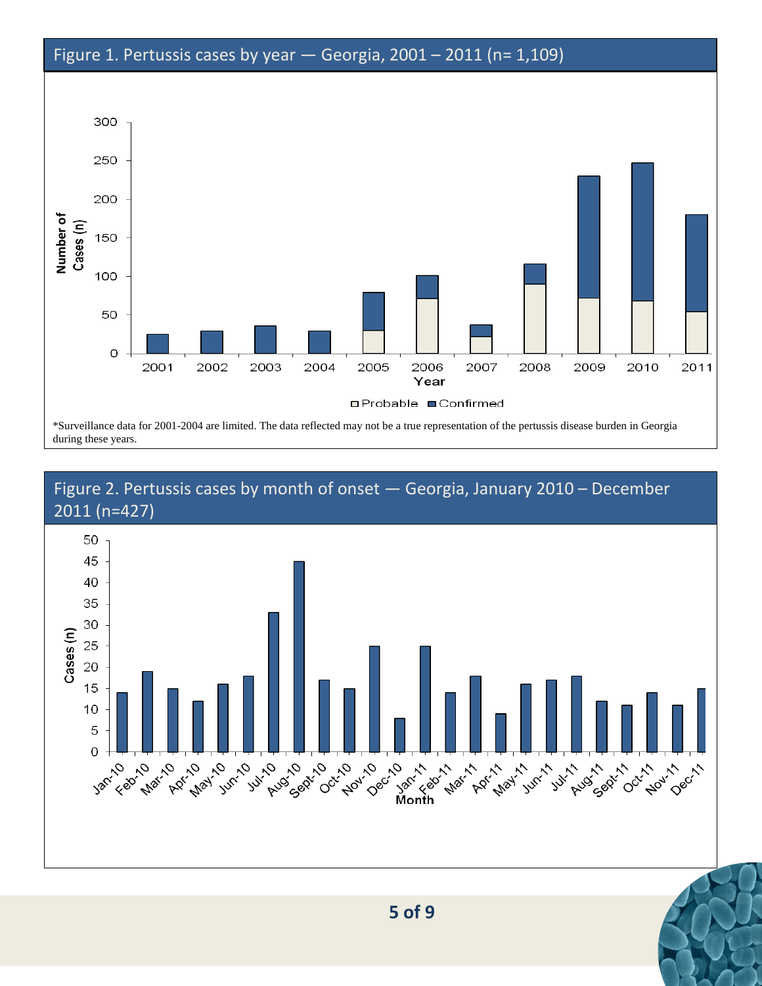## Figure 1. Pertussis cases by year — Georgia, 2001 – 2011 (n= 1,109)



\*Surveillance data for 2001-2004 are limited. The data reflected may not be a true representation of the pertussis disease burden in Georgia

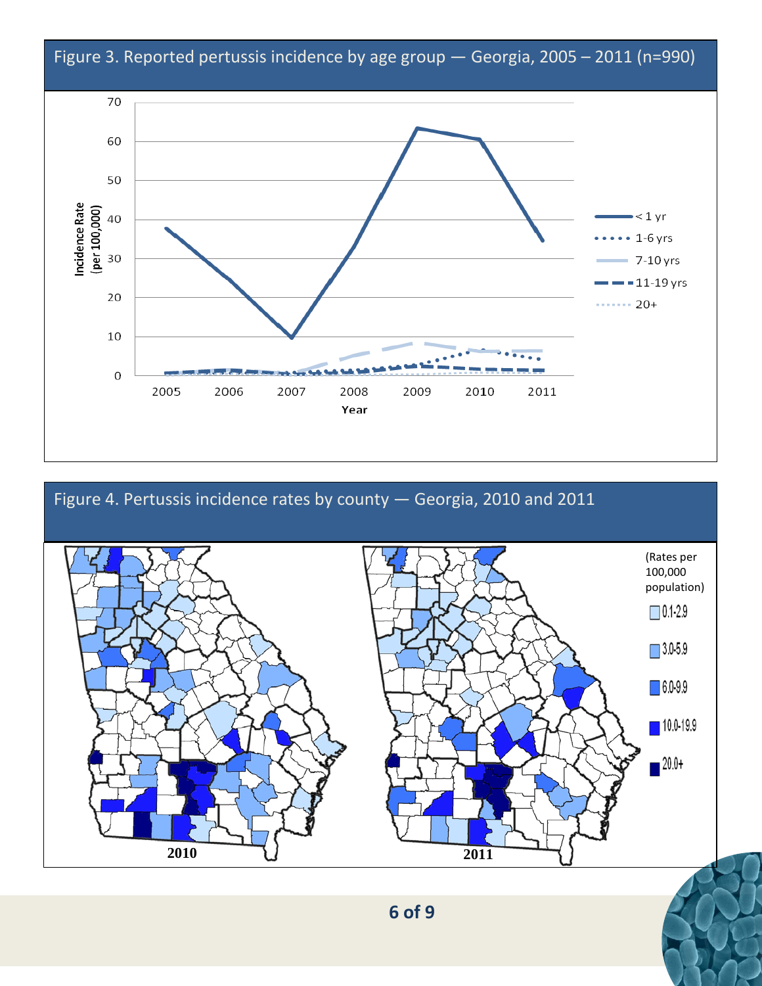



**6 of 9**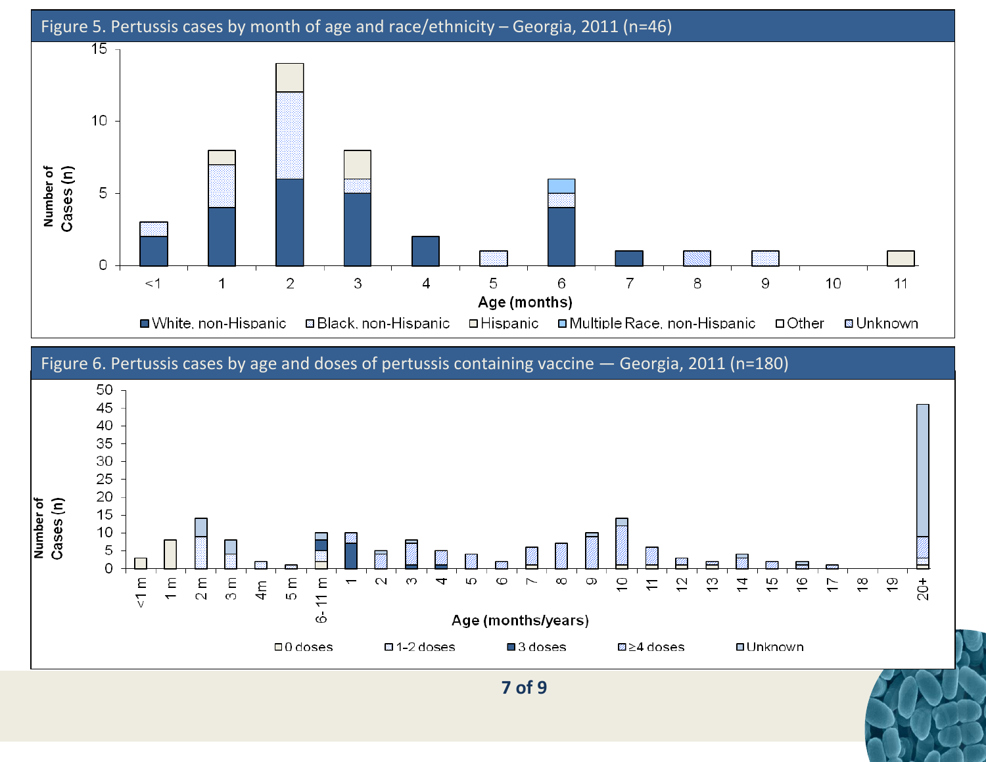



**7 of 9**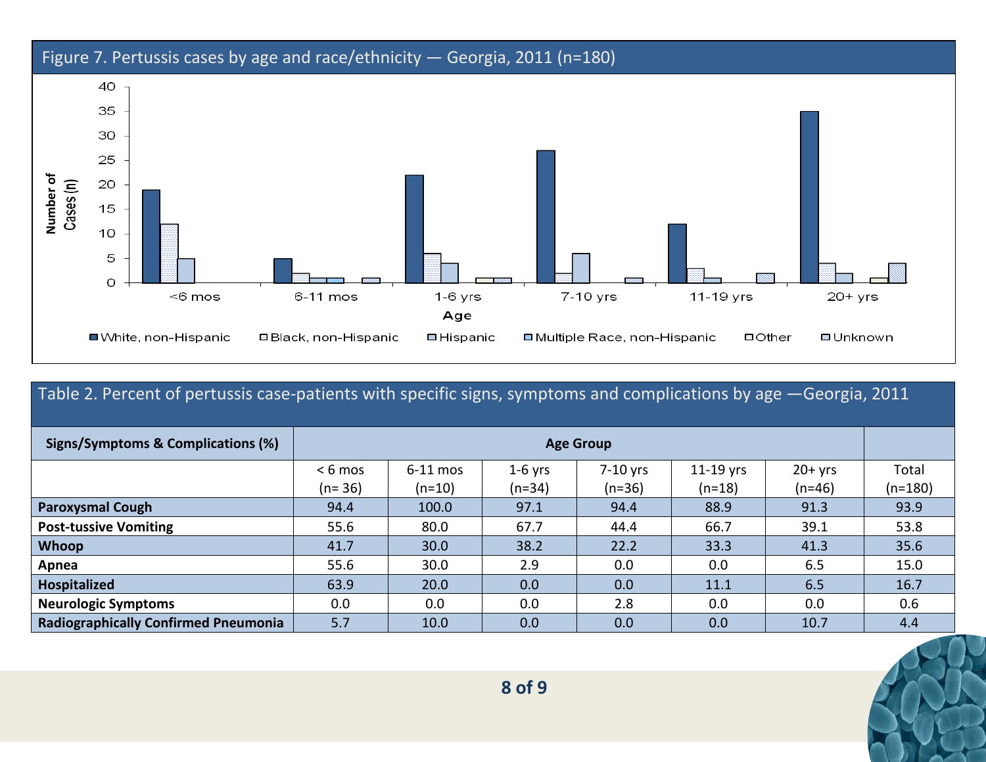

| Table 2. Percent of pertussis case-patients with specific signs, symptoms and complications by age -Georgia, 2011 |                   |            |           |          |           |          |           |  |
|-------------------------------------------------------------------------------------------------------------------|-------------------|------------|-----------|----------|-----------|----------|-----------|--|
| Signs/Symptoms & Complications (%)                                                                                | <b>Age Group</b>  |            |           |          |           |          |           |  |
|                                                                                                                   | $< 6 \text{ mos}$ | $6-11$ mos | $1-6$ yrs | 7-10 yrs | 11-19 yrs | $20+yrs$ | Total     |  |
|                                                                                                                   | $(n=36)$          | $(n=10)$   | $(n=34)$  | $(n=36)$ | $(n=18)$  | $(n=46)$ | $(n=180)$ |  |
| <b>Paroxysmal Cough</b>                                                                                           | 94.4              | 100.0      | 97.1      | 94.4     | 88.9      | 91.3     | 93.9      |  |
| <b>Post-tussive Vomiting</b>                                                                                      | 55.6              | 80.0       | 67.7      | 44.4     | 66.7      | 39.1     | 53.8      |  |
| <b>Whoop</b>                                                                                                      | 41.7              | 30.0       | 38.2      | 22.2     | 33.3      | 41.3     | 35.6      |  |
| Apnea                                                                                                             | 55.6              | 30.0       | 2.9       | 0.0      | 0.0       | 6.5      | 15.0      |  |
| <b>Hospitalized</b>                                                                                               | 63.9              | 20.0       | 0.0       | 0.0      | 11.1      | 6.5      | 16.7      |  |
| <b>Neurologic Symptoms</b>                                                                                        | 0.0               | 0.0        | 0.0       | 2.8      | 0.0       | 0.0      | 0.6       |  |
| <b>Radiographically Confirmed Pneumonia</b>                                                                       | 5.7               | 10.0       | 0.0       | 0.0      | 0.0       | 10.7     | 4.4       |  |